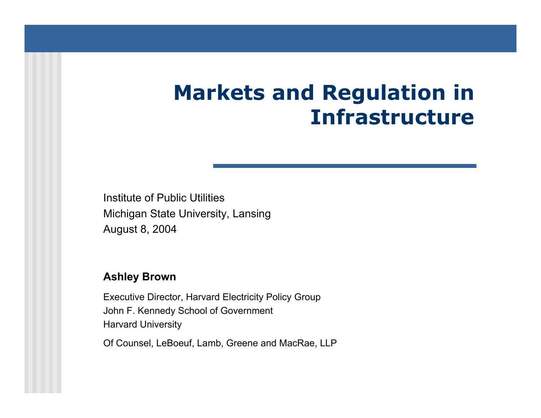# **Markets and Regulation in Infrastructure**

Institute of Public UtilitiesMichigan State University, Lansing August 8, 2004

#### **Ashley Brown**

Executi ve Director, Harvard Electricity Policy Group John F. Kennedy School of Governm ent Harvard University

Of Counsel, LeBoeuf, Lamb, Greene and MacRae, LLP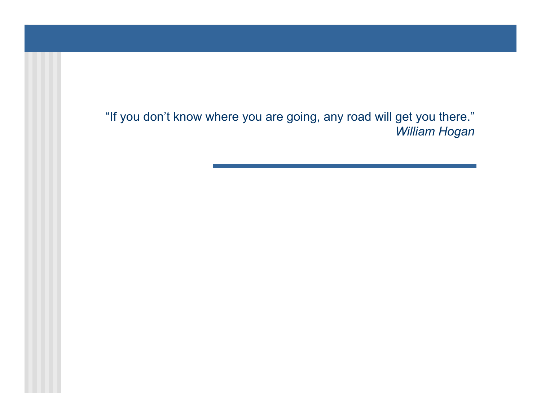"If you don't know where you are going, any road will get you there." *William Hogan*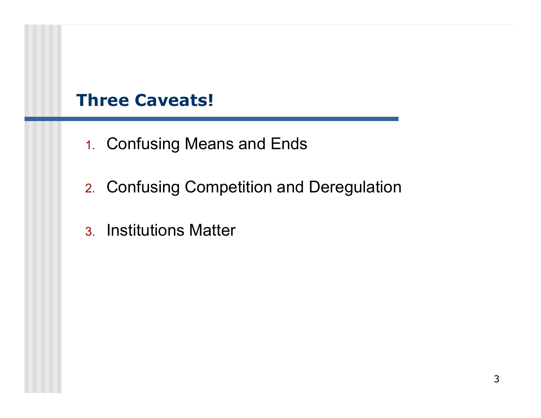### **Three Caveats!**

- 1. Confusing Means and Ends
- 2. Confusing Competition and Deregulation
- 3. Institutions Matter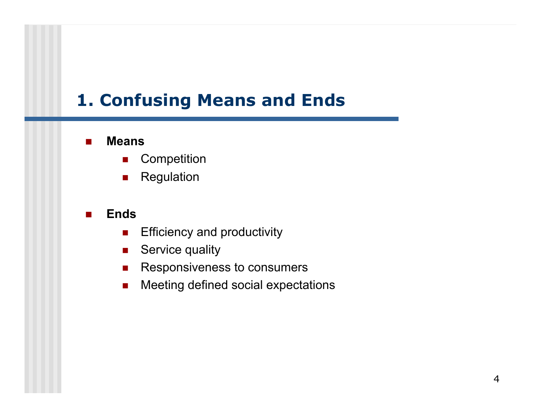### **1. Confusing Means and Ends**

#### $\overline{\phantom{a}}$ **Means**

- $\mathcal{L}_{\mathcal{A}}$ **Competition**
- $\blacksquare$ Regulation

#### $\overline{\phantom{a}}$ **Ends**

- $\mathcal{L}_{\mathcal{A}}$ Efficiency and productivity
- $\mathcal{L}_{\mathcal{A}}$ Service quality
- $\mathcal{L}_{\mathcal{A}}$ Responsiveness to consumers
- $\mathcal{L}_{\mathcal{A}}$ Meeting defined social expectations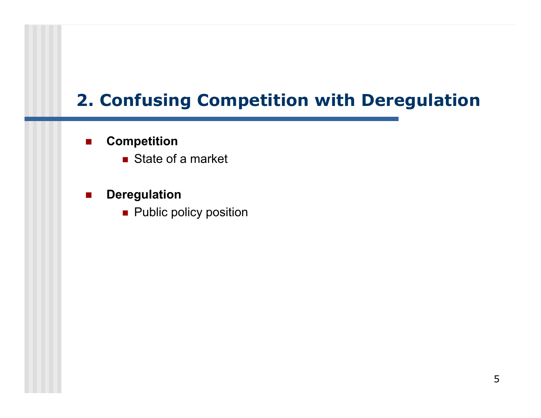# **2. Confusing Competition with Deregulation**

#### $\mathcal{L}_{\mathcal{A}}$ **Competition**

- State of a market
- $\mathcal{L}^{\mathcal{A}}$  $\blacksquare$  Deregulation
	- **Public policy position**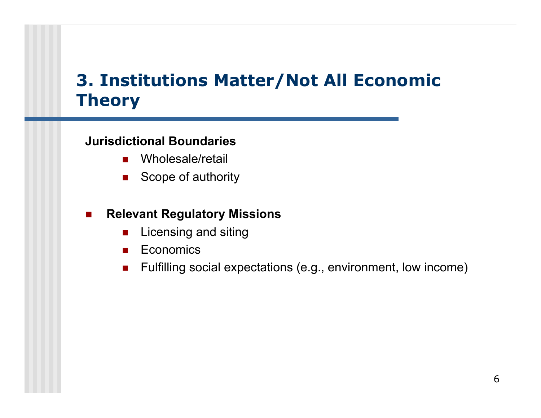## **3. Institutions Matter/Not All Economic Theory**

### **Jurisdictional Boundaries**

- $\mathcal{L}_{\mathcal{A}}$ Wholesale/retail
- $\mathcal{L}^{\text{max}}$ Scope of authority

#### $\mathcal{L}_{\mathcal{A}}$ **Relevant Regulatory Missions**

- $\blacksquare$ Licensing and siting
- **Economics**
- $\mathcal{L}^{\mathcal{L}}$ Fulfilling social expectations (e.g., environment, low income)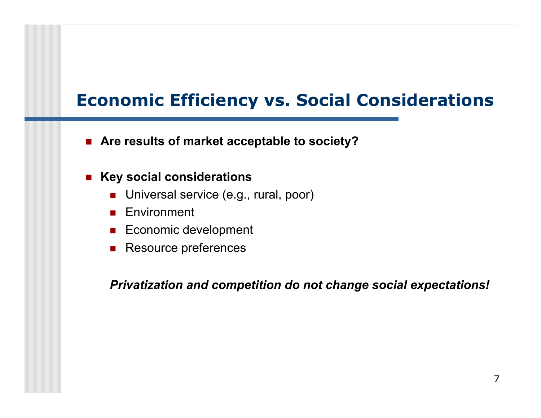## **Economic Efficiency vs. Social Considerations**

■ Are results of market acceptable to society?

#### $\mathcal{L}_{\text{max}}$ **Key social considerations**

- **DETE:** Universal service (e.g., rural, poor)
- **Environment**
- **Economic development**
- **Resource preferences**

*Privatization and competition do not change social expectations!*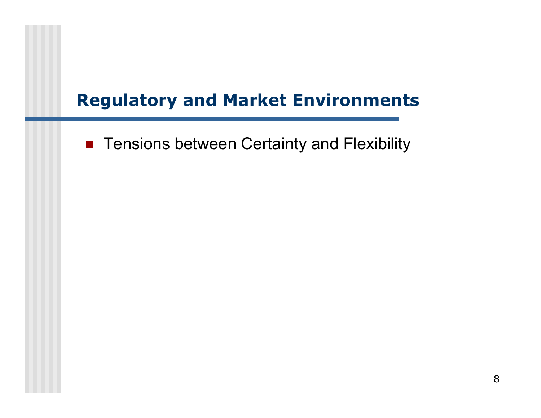### **Regulatory and Market Environments**

**Tensions between Certainty and Flexibility**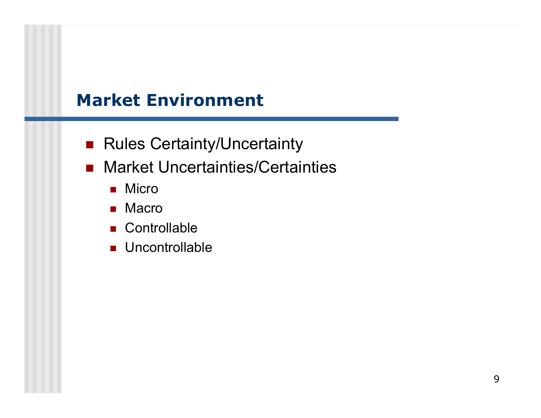### **Market Environment**

- Rules Certainty/Uncertainty
- Market Uncertainties/Certainties
	- $\blacksquare$  Micro
	- $\blacksquare$  Macro
	- Controllable
	- **Uncontrollable**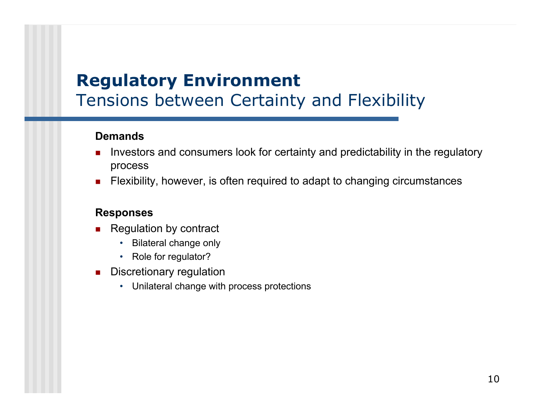### **Regulatory Environment** Tensions between Certainty and Flexibility

### **Demands**

- Investors and consumers look for certainty and predictability in the regulatory process
- П Flexibility, however, is often required to adapt to changing circumstances

#### **Responses**

- П Regulation by contract
	- •Bilateral change only
	- Role for regulator?
- П Discretionary regulation
	- •Unilateral change with process protections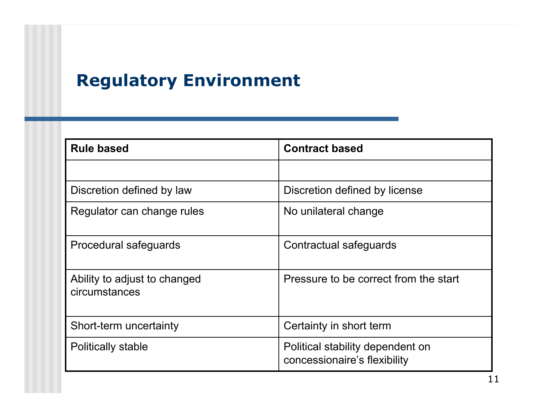# **Regulatory Environment**

| <b>Rule based</b>                             | <b>Contract based</b>                                            |  |
|-----------------------------------------------|------------------------------------------------------------------|--|
|                                               |                                                                  |  |
| Discretion defined by law                     | Discretion defined by license                                    |  |
| Regulator can change rules                    | No unilateral change                                             |  |
| Procedural safeguards                         | Contractual safeguards                                           |  |
| Ability to adjust to changed<br>circumstances | Pressure to be correct from the start                            |  |
| Short-term uncertainty                        | Certainty in short term                                          |  |
| <b>Politically stable</b>                     | Political stability dependent on<br>concessionaire's flexibility |  |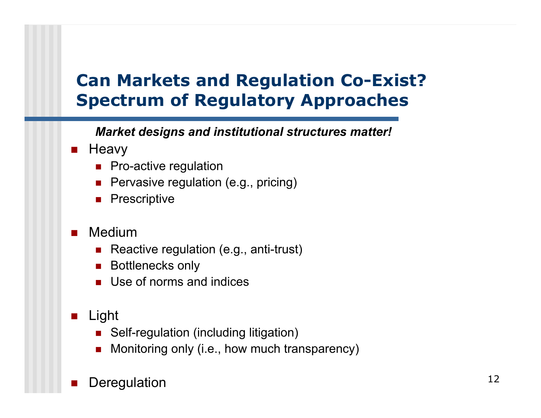## **Can Markets and Regulation Co-Exist? Spectrum of Regulatory Approaches**

*Market designs and institutional structures matter!*

- $\mathcal{L}^{\mathcal{L}}$ **Heavy** 
	- **Pro-active regulation**
	- F Pervasive regulation (e.g., pricing)
	- × **Prescriptive**
- $\mathcal{L}^{\mathcal{L}}$  Medium
	- × Reactive regulation (e.g., anti-trust)
	- F Bottlenecks only
	- **Use of norms and indices**
- $\mathcal{O}(\mathbb{R}^d)$  Light
	- × Self-regulation (including litigation)
	- F Monitoring only (i.e., how much transparency)

#### T. **Deregulation**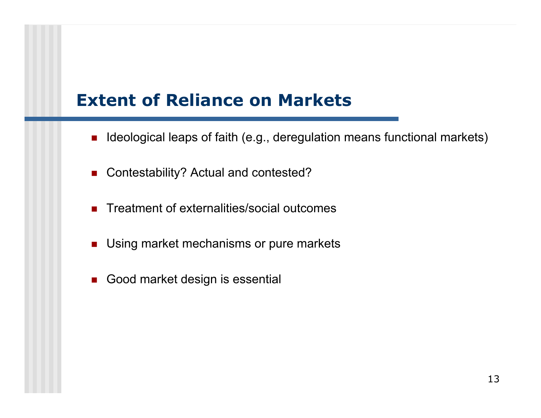### **Extent of Reliance on Markets**

- Ideological leaps of faith (e.g., deregulation means functional markets)
- F Contestability? Actual and contested?
- **Treatment of externalities/social outcomes**
- $\mathcal{L}^{\mathcal{A}}$ Using market mechanisms or pure markets
- Good market design is essential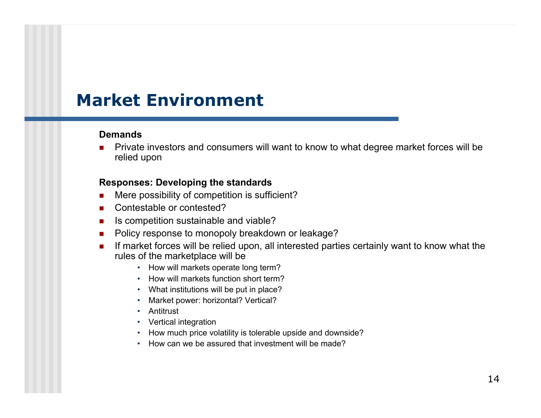### **Market Environment**

#### **Demands**

Г ■ Private investors and consumers will want to know to what degree market forces will be relied upon

#### **Responses: Developing the standards**

- $\blacksquare$ ■ Mere possibility of competition is sufficient?
- $\mathbf{r}$ Contestable or contested?
- $\mathbf{r}$ ■ Is competition sustainable and viable?
- $\mathcal{L}_{\mathcal{A}}$ Policy response to monopoly breakdown or leakage?
- $\mathcal{L}_{\mathcal{A}}$ **If market forces will be relied upon, all interested parties certainly want to know what the** rules of the marketplace will be
	- How will markets operate long term?
	- How will markets function short term?
	- What institutions will be put in place?
	- Market power: h orizontal? Vertical?
	- Antitrust
	- Vertical integration
	- How much price volatility is tolerable upside and downside?
	- How can we be assured that investment will be made?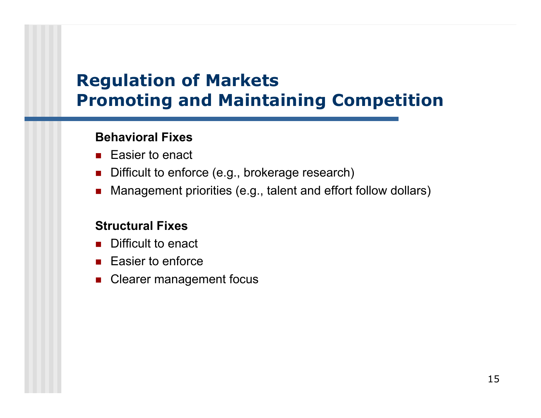# **Regulation of Markets Promoting and Maintaining Competition**

### **Behavioral Fixes**

- $\mathcal{L}_{\mathcal{A}}$ Easier to enact
- F Difficult to enforce (e.g., brokerage research)
- F Management priorities (e.g., talent and effort follow dollars)

### **Structural Fixes**

- F Difficult to enact
- **Easier to enforce**
- F Clearer management focus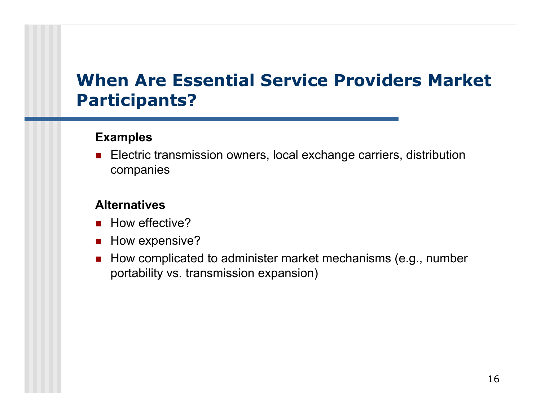### **When Are Essential Service Providers Market Participants?**

### **Examples**

× Electric transmission owners, local exchange carriers, distribution companies

### **Alternatives**

- How effective?
- $\blacksquare$  How expensive?
- × How complicated to administer market mechanisms (e.g., number portability vs. transmission expansion)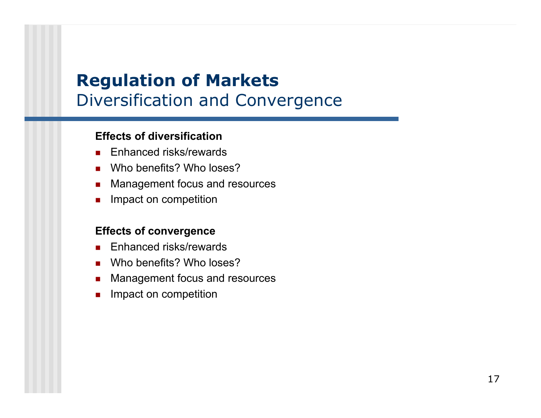# **Regulation of Markets** Diversification and Convergence

#### **Effects of diversification**

- Enhanced risks/rewards
- Who benefits? Who loses?
- Management focus and resources
- П Impact on competition

#### **Effects of convergence**

- П Enhanced risks/rewards
- u Who benefits? Who loses?
- $\overline{\phantom{a}}$ Management focus and resources
- $\mathcal{L}_{\mathcal{A}}$ Impact on competition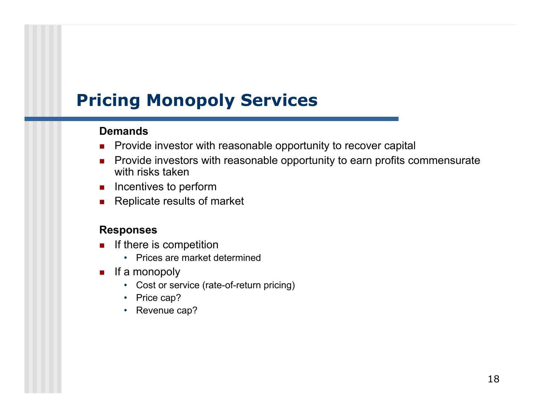### **Demands**

- $\mathcal{L}_{\mathcal{A}}$ ■ Provide investor with reasonable opportunity to recover capital
- **Provide investors with reasonable opportunity to earn profits commensurate** with risks taken
- $\blacksquare$  Incentives to perform
- **Replicate results of market**

#### **Responses**

- $\mathbf{r}$  If there is competition
	- Prices are market determined
- **If a monopoly** 
	- Cost or service (rate-of-return pricing)
	- Price cap?
	- Revenue cap?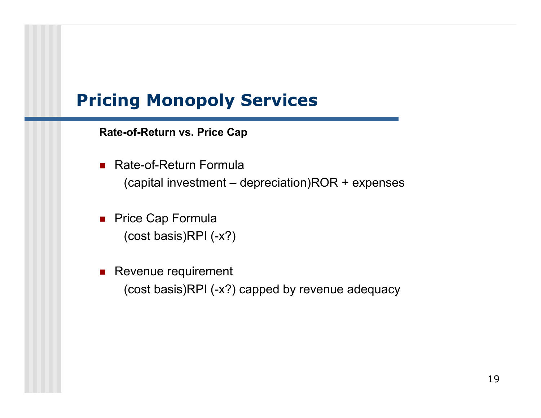**Rate-of-Return vs. Price Cap**

- Rate-of-Return Formula (capital investment – depreciation)ROR + expenses
- **Price Cap Formula** (cost basis)RPI (-x?)
- **Revenue requirement** (cost basis)RPI (-x?) capped by revenue adequacy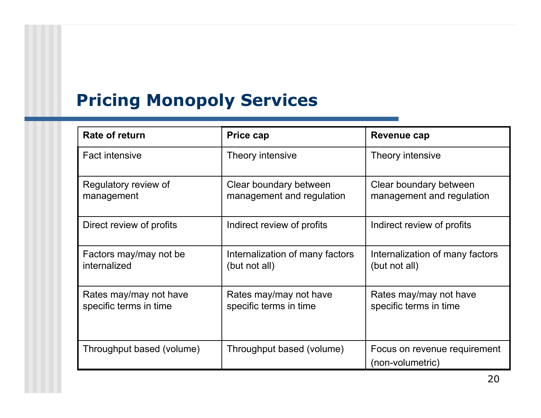| Rate of return                                   | <b>Price cap</b>                                    | Revenue cap                                         |
|--------------------------------------------------|-----------------------------------------------------|-----------------------------------------------------|
| <b>Fact intensive</b>                            | Theory intensive                                    | Theory intensive                                    |
| Regulatory review of<br>management               | Clear boundary between<br>management and regulation | Clear boundary between<br>management and regulation |
| Direct review of profits                         | Indirect review of profits                          | Indirect review of profits                          |
| Factors may/may not be<br>internalized           | Internalization of many factors<br>(but not all)    | Internalization of many factors<br>(but not all)    |
| Rates may/may not have<br>specific terms in time | Rates may/may not have<br>specific terms in time    | Rates may/may not have<br>specific terms in time    |
| Throughput based (volume)                        | Throughput based (volume)                           | Focus on revenue requirement<br>(non-volumetric)    |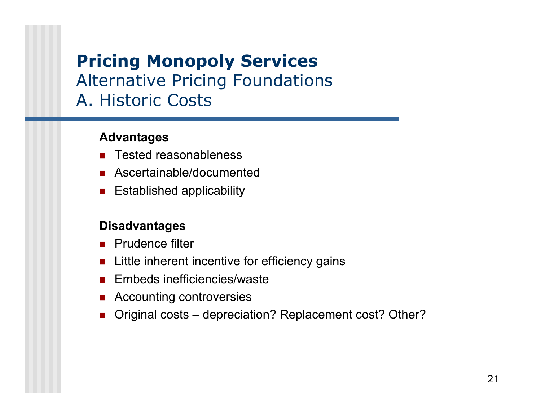### Alternative Pricing Foundations A. Historic Costs

### **Advantages**

- **Tested reasonableness**
- **Ascertainable/documented**
- **Established applicability**

### **Disadvantages**

- **Prudence filter**
- **EXTE:** Little inherent incentive for efficiency gains
- **Embeds inefficiencies/waste**
- **Accounting controversies**
- × Original costs – depreciation? Replacement cost? Other?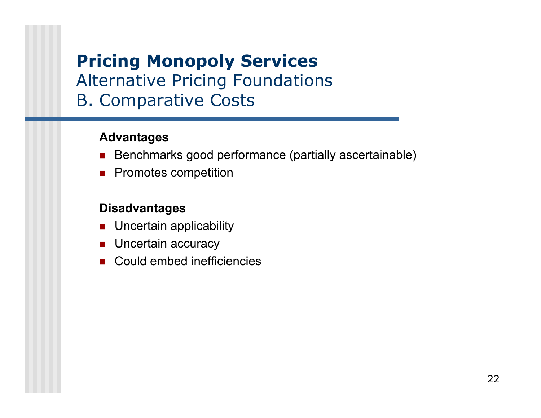### Alternative Pricing Foundations B. Comparative Costs

### **Advantages**

- Benchmarks good performance (partially ascertainable)
- **Promotes competition**

### **Disadvantages**

- Uncertain applicability
- **Uncertain accuracy**
- Could embed inefficiencies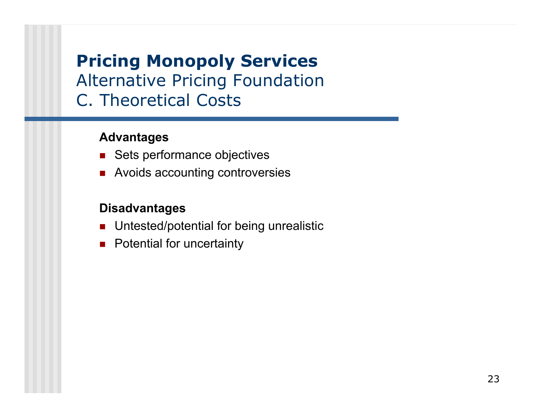### Alternative Pricing Foundation C. Theoretical Costs

### **Advantages**

- Sets performance objectives
- **Avoids accounting controversies**

### **Disadvantages**

- **Dumable 20 Untested/potential for being unrealistic**
- **Potential for uncertainty**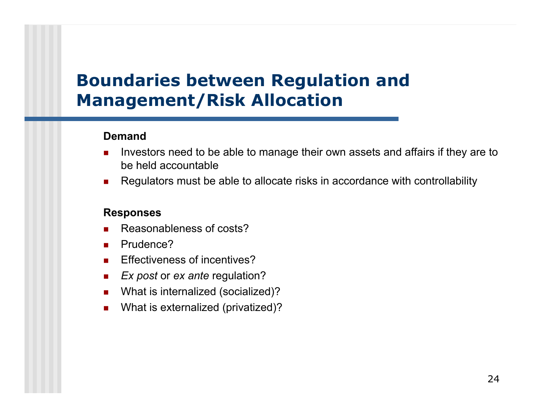## **Boundaries between Regulation and Management/Risk Allocation**

#### **Demand**

- **If all investors need to be able to manage their own assets and affairs if they are to under** be held accountable
- $\mathcal{L}_{\mathcal{A}}$ ■ Regulators must be able to allocate risks in accordance with controllability

#### **Responses**

- П Reasonableness of costs?
- $\mathcal{L}_{\mathcal{A}}$ Prudence?
- $\mathbf{r}$ Effectiveness of incentives?
- $\mathcal{L}_{\mathcal{A}}$ *Ex post* or *ex ante* regulation?
- $\mathcal{L}_{\mathcal{A}}$ What is internalized (socialized)?
- $\mathcal{L}_{\mathcal{A}}$ What is externalized (privatized)?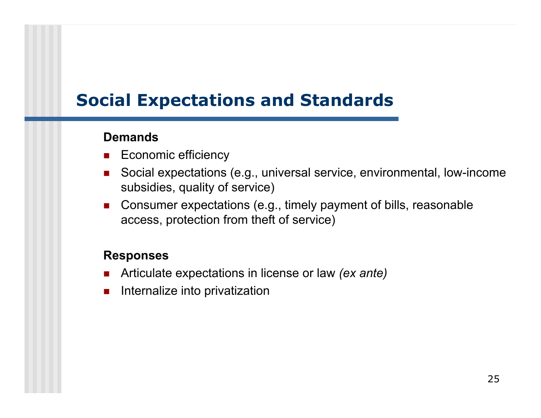## **Social Expectations and Standards**

### **Demands**

- **Economic efficiency**
- F Social expectations (e.g., universal service, environmental, low-income subsidies, quality of service)
- $\mathcal{L}_{\text{max}}$  Consumer expectations (e.g., timely payment of bills, reasonable access, protection from theft of service)

### **Responses**

- $\mathcal{L}_{\mathcal{A}}$ Articulate expectations in license or law *(ex ante)*
- $\mathcal{L}_{\mathcal{A}}$ Internalize into privatization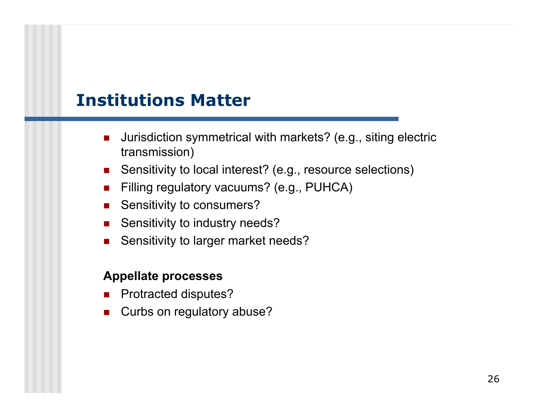### **Institutions Matter**

- F Jurisdiction symmetrical with markets? (e.g., siting electric transmission)
- Sensitivity to local interest? (e.g., resource selections)
- $\mathcal{L}_{\text{max}}$ Filling regulatory vacuums? (e.g., PUHCA)
- $\mathcal{L}_{\mathcal{A}}$ Sensitivity to consumers?
- $\mathcal{L}_{\mathcal{A}}$ Sensitivity to industry needs?
- $\blacksquare$ Sensitivity to larger market needs?

### **Appellate processes**

- **Protracted disputes?**
- $\mathbf{r}$ Curbs on regulatory abuse?